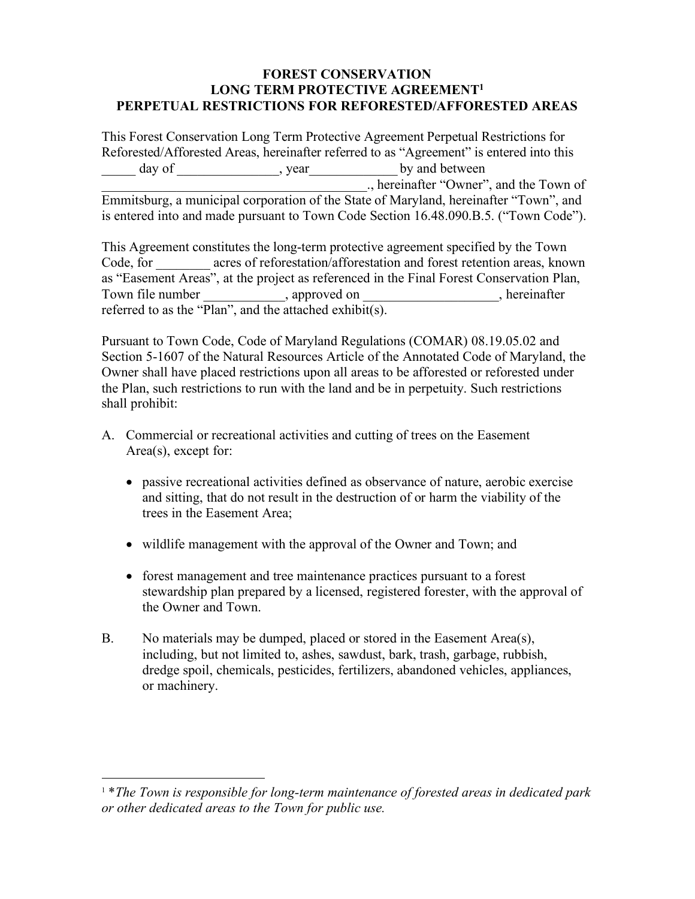## **FOREST CONSERVATION LONG TERM PROTECTIVE AGREEMENT1 PERPETUAL RESTRICTIONS FOR REFORESTED/AFFORESTED AREAS**

This Forest Conservation Long Term Protective Agreement Perpetual Restrictions for Reforested/Afforested Areas, hereinafter referred to as "Agreement" is entered into this day of \_\_\_\_\_\_\_\_\_\_\_\_, year \_\_\_\_\_\_\_\_\_\_\_\_\_\_ by and between \_\_\_\_\_\_\_\_\_\_\_\_\_\_\_\_\_\_\_\_\_\_\_\_\_\_\_\_\_\_\_\_\_\_\_\_\_\_\_., hereinafter "Owner", and the Town of Emmitsburg, a municipal corporation of the State of Maryland, hereinafter "Town", and is entered into and made pursuant to Town Code Section 16.48.090.B.5. ("Town Code").

This Agreement constitutes the long-term protective agreement specified by the Town Code, for acres of reforestation/afforestation and forest retention areas, known as "Easement Areas", at the project as referenced in the Final Forest Conservation Plan, Town file number \_\_\_\_\_\_\_\_\_\_\_, approved on \_\_\_\_\_\_\_\_\_\_\_\_\_\_\_, hereinafter referred to as the "Plan", and the attached exhibit(s).

Pursuant to Town Code, Code of Maryland Regulations (COMAR) 08.19.05.02 and Section 5-1607 of the Natural Resources Article of the Annotated Code of Maryland, the Owner shall have placed restrictions upon all areas to be afforested or reforested under the Plan, such restrictions to run with the land and be in perpetuity. Such restrictions shall prohibit:

- A. Commercial or recreational activities and cutting of trees on the Easement Area(s), except for:
	- passive recreational activities defined as observance of nature, aerobic exercise and sitting, that do not result in the destruction of or harm the viability of the trees in the Easement Area;
	- wildlife management with the approval of the Owner and Town; and
	- forest management and tree maintenance practices pursuant to a forest stewardship plan prepared by a licensed, registered forester, with the approval of the Owner and Town.
- B. No materials may be dumped, placed or stored in the Easement Area(s), including, but not limited to, ashes, sawdust, bark, trash, garbage, rubbish, dredge spoil, chemicals, pesticides, fertilizers, abandoned vehicles, appliances, or machinery.

 <sup>1</sup> \**The Town is responsible for long-term maintenance of forested areas in dedicated park or other dedicated areas to the Town for public use.*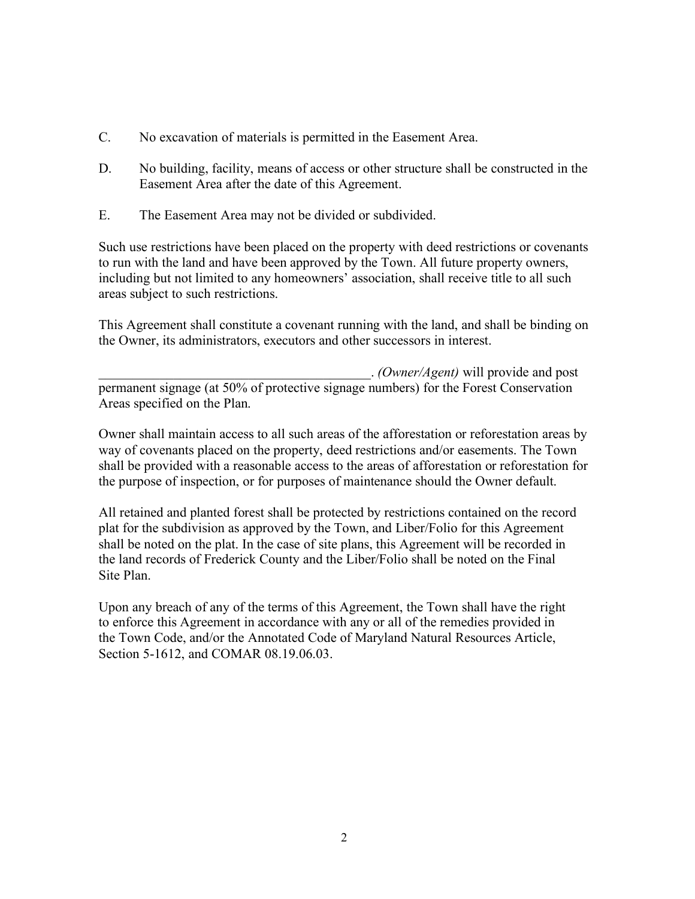- C. No excavation of materials is permitted in the Easement Area.
- D. No building, facility, means of access or other structure shall be constructed in the Easement Area after the date of this Agreement.
- E. The Easement Area may not be divided or subdivided.

Such use restrictions have been placed on the property with deed restrictions or covenants to run with the land and have been approved by the Town. All future property owners, including but not limited to any homeowners' association, shall receive title to all such areas subject to such restrictions.

This Agreement shall constitute a covenant running with the land, and shall be binding on the Owner, its administrators, executors and other successors in interest.

\_\_\_\_\_\_\_\_\_\_\_\_\_\_\_\_\_\_\_\_\_\_\_\_\_\_\_\_\_\_\_\_\_\_\_\_\_\_\_\_. *(Owner/Agent)* will provide and post permanent signage (at 50% of protective signage numbers) for the Forest Conservation Areas specified on the Plan.

Owner shall maintain access to all such areas of the afforestation or reforestation areas by way of covenants placed on the property, deed restrictions and/or easements. The Town shall be provided with a reasonable access to the areas of afforestation or reforestation for the purpose of inspection, or for purposes of maintenance should the Owner default.

All retained and planted forest shall be protected by restrictions contained on the record plat for the subdivision as approved by the Town, and Liber/Folio for this Agreement shall be noted on the plat. In the case of site plans, this Agreement will be recorded in the land records of Frederick County and the Liber/Folio shall be noted on the Final Site Plan.

Upon any breach of any of the terms of this Agreement, the Town shall have the right to enforce this Agreement in accordance with any or all of the remedies provided in the Town Code, and/or the Annotated Code of Maryland Natural Resources Article, Section 5-1612, and COMAR 08.19.06.03.